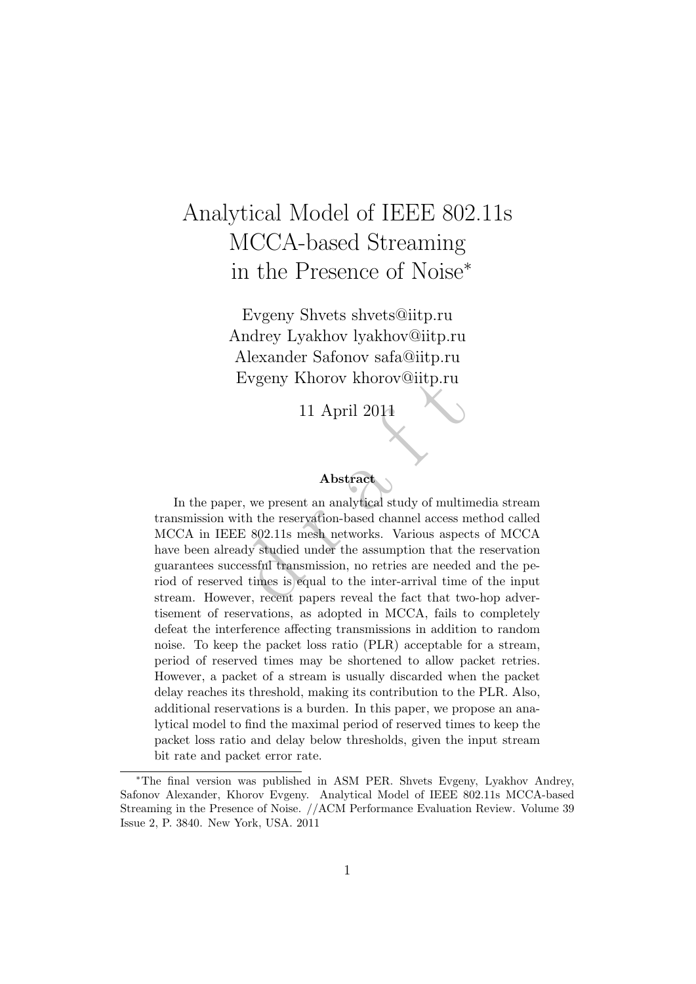# Analytical Model of IEEE 802.11s MCCA-based Streaming in the Presence of Noise ∗

Evgeny Shvets shvets@iitp.ru Andrey Lyakhov lyakhov@iitp.ru Alexander Safonov safa@iitp.ru Evgeny Khorov khorov@iitp.ru

11 April 2011

#### Abstract

Evgeny Knorov Knorov Cutp.ru<br>
11 April 2011<br> **Abstract**<br>
er, we present an analytical study of multin<br>
ith the reservation-based channel access n<br>
E 802.11s mesh networks. Various aspected<br>
ady studied under the assumption In the paper, we present an analytical study of multimedia stream transmission with the reservation-based channel access method called MCCA in IEEE 802.11s mesh networks. Various aspects of MCCA have been already studied under the assumption that the reservation guarantees successful transmission, no retries are needed and the period of reserved times is equal to the inter-arrival time of the input stream. However, recent papers reveal the fact that two-hop advertisement of reservations, as adopted in MCCA, fails to completely defeat the interference affecting transmissions in addition to random noise. To keep the packet loss ratio (PLR) acceptable for a stream, period of reserved times may be shortened to allow packet retries. However, a packet of a stream is usually discarded when the packet delay reaches its threshold, making its contribution to the PLR. Also, additional reservations is a burden. In this paper, we propose an analytical model to find the maximal period of reserved times to keep the packet loss ratio and delay below thresholds, given the input stream bit rate and packet error rate.

<sup>∗</sup>The final version was published in ASM PER. Shvets Evgeny, Lyakhov Andrey, Safonov Alexander, Khorov Evgeny. Analytical Model of IEEE 802.11s MCCA-based Streaming in the Presence of Noise. //ACM Performance Evaluation Review. Volume 39 Issue 2, P. 3840. New York, USA. 2011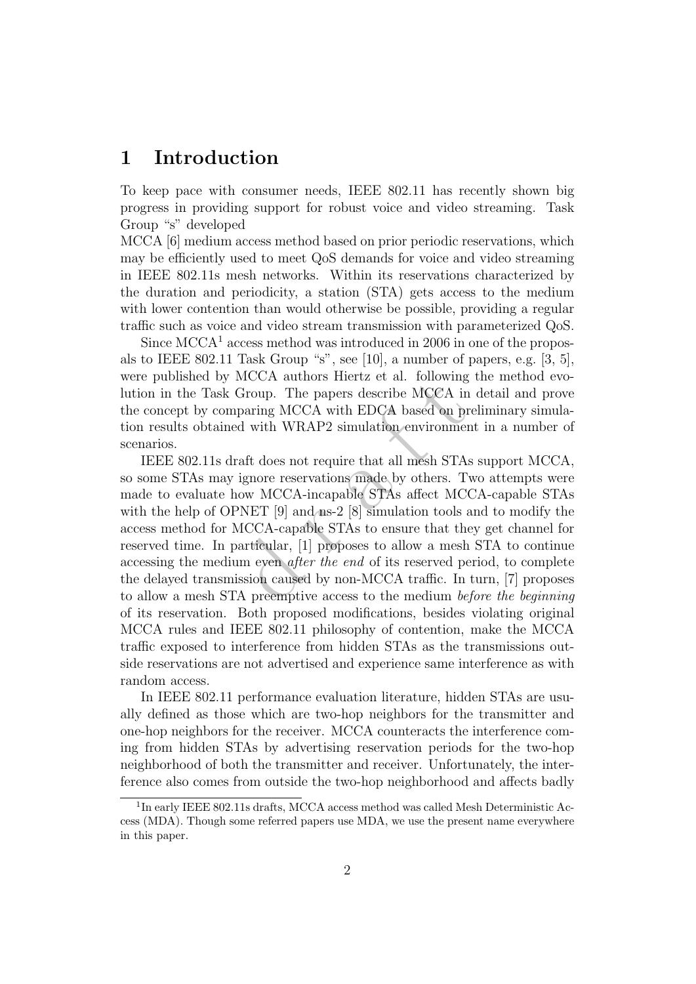### 1 Introduction

To keep pace with consumer needs, IEEE 802.11 has recently shown big progress in providing support for robust voice and video streaming. Task Group "s" developed

MCCA [6] medium access method based on prior periodic reservations, which may be efficiently used to meet QoS demands for voice and video streaming in IEEE 802.11s mesh networks. Within its reservations characterized by the duration and periodicity, a station (STA) gets access to the medium with lower contention than would otherwise be possible, providing a regular traffic such as voice and video stream transmission with parameterized QoS.

Since  $MCCA<sup>1</sup>$  access method was introduced in 2006 in one of the proposals to IEEE 802.11 Task Group "s", see [10], a number of papers, e.g. [3, 5], were published by MCCA authors Hiertz et al. following the method evolution in the Task Group. The papers describe MCCA in detail and prove the concept by comparing MCCA with EDCA based on preliminary simulation results obtained with WRAP2 simulation environment in a number of scenarios.

MCCA atthors mertz et al. following<br>Group. The papers describe MCCA in<br>paring MCCA with EDCA based on pid<br>with WRAP2 simulation environment<br>raft does not require that all mesh STA<br>ignore reservations made by others. T<br>low IEEE 802.11s draft does not require that all mesh STAs support MCCA, so some STAs may ignore reservations made by others. Two attempts were made to evaluate how MCCA-incapable STAs affect MCCA-capable STAs with the help of OPNET [9] and ns-2 [8] simulation tools and to modify the access method for MCCA-capable STAs to ensure that they get channel for reserved time. In particular, [1] proposes to allow a mesh STA to continue accessing the medium even after the end of its reserved period, to complete the delayed transmission caused by non-MCCA traffic. In turn, [7] proposes to allow a mesh STA preemptive access to the medium before the beginning of its reservation. Both proposed modifications, besides violating original MCCA rules and IEEE 802.11 philosophy of contention, make the MCCA traffic exposed to interference from hidden STAs as the transmissions outside reservations are not advertised and experience same interference as with random access.

In IEEE 802.11 performance evaluation literature, hidden STAs are usually defined as those which are two-hop neighbors for the transmitter and one-hop neighbors for the receiver. MCCA counteracts the interference coming from hidden STAs by advertising reservation periods for the two-hop neighborhood of both the transmitter and receiver. Unfortunately, the interference also comes from outside the two-hop neighborhood and affects badly

<sup>&</sup>lt;sup>1</sup>In early IEEE 802.11s drafts, MCCA access method was called Mesh Deterministic Access (MDA). Though some referred papers use MDA, we use the present name everywhere in this paper.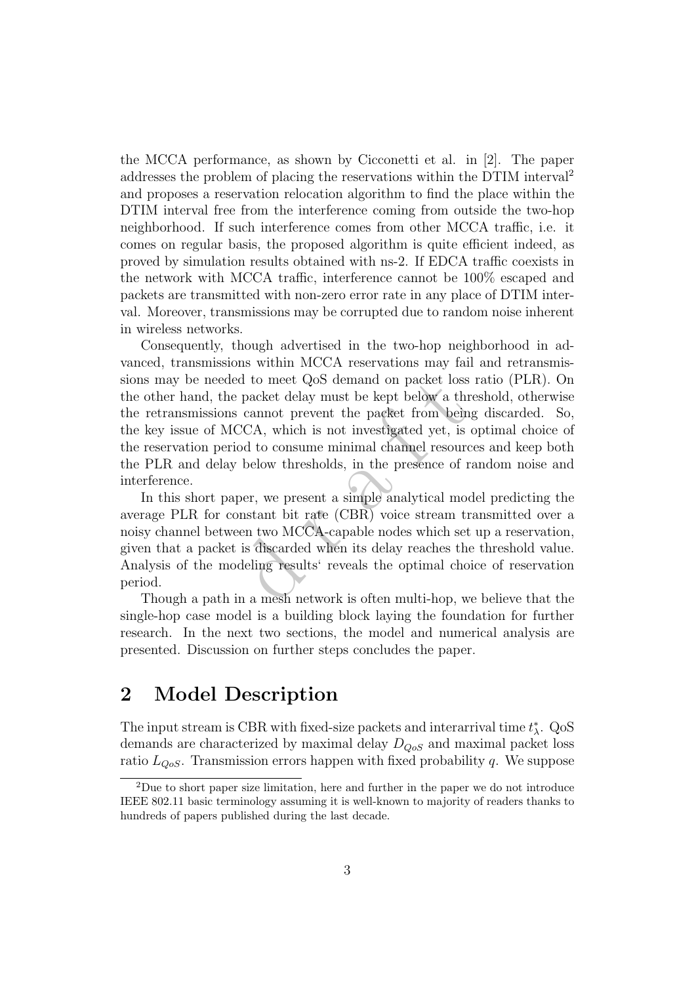the MCCA performance, as shown by Cicconetti et al. in [2]. The paper addresses the problem of placing the reservations within the DTIM interval<sup>2</sup> and proposes a reservation relocation algorithm to find the place within the DTIM interval free from the interference coming from outside the two-hop neighborhood. If such interference comes from other MCCA traffic, i.e. it comes on regular basis, the proposed algorithm is quite efficient indeed, as proved by simulation results obtained with ns-2. If EDCA traffic coexists in the network with MCCA traffic, interference cannot be 100% escaped and packets are transmitted with non-zero error rate in any place of DTIM interval. Moreover, transmissions may be corrupted due to random noise inherent in wireless networks.

d to meet QoS demand on packet loss<br>
packet delay must be kept below a the<br>
cannot prevent the packet from bein<br>
CCA, which is not investigated yet, is<br>
od to consume minimal channel resour<br>
below thresholds, in the presen Consequently, though advertised in the two-hop neighborhood in advanced, transmissions within MCCA reservations may fail and retransmissions may be needed to meet QoS demand on packet loss ratio (PLR). On the other hand, the packet delay must be kept below a threshold, otherwise the retransmissions cannot prevent the packet from being discarded. So, the key issue of MCCA, which is not investigated yet, is optimal choice of the reservation period to consume minimal channel resources and keep both the PLR and delay below thresholds, in the presence of random noise and interference.

In this short paper, we present a simple analytical model predicting the average PLR for constant bit rate (CBR) voice stream transmitted over a noisy channel between two MCCA-capable nodes which set up a reservation, given that a packet is discarded when its delay reaches the threshold value. Analysis of the modeling results' reveals the optimal choice of reservation period.

Though a path in a mesh network is often multi-hop, we believe that the single-hop case model is a building block laying the foundation for further research. In the next two sections, the model and numerical analysis are presented. Discussion on further steps concludes the paper.

## 2 Model Description

The input stream is CBR with fixed-size packets and interarrival time  $t_{\lambda}^{*}$ . QoS demands are characterized by maximal delay  $D_{QoS}$  and maximal packet loss ratio  $L_{QoS}$ . Transmission errors happen with fixed probability q. We suppose

<sup>2</sup>Due to short paper size limitation, here and further in the paper we do not introduce IEEE 802.11 basic terminology assuming it is well-known to majority of readers thanks to hundreds of papers published during the last decade.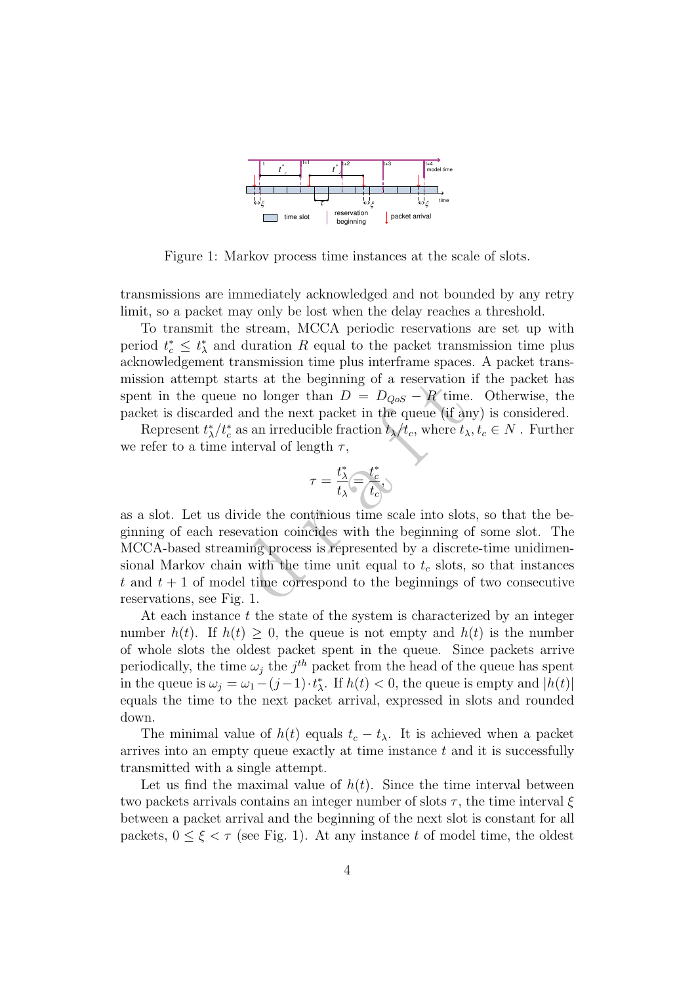

Figure 1: Markov process time instances at the scale of slots.

transmissions are immediately acknowledged and not bounded by any retry limit, so a packet may only be lost when the delay reaches a threshold.

To transmit the stream, MCCA periodic reservations are set up with period  $t_c^* \leq t_{\lambda}^*$  and duration R equal to the packet transmission time plus acknowledgement transmission time plus interframe spaces. A packet transmission attempt starts at the beginning of a reservation if the packet has spent in the queue no longer than  $D = D_{QoS} - R$  time. Otherwise, the packet is discarded and the next packet in the queue (if any) is considered.

Represent  $t_{\lambda}^{*}/t_{c}^{*}$  as an irreducible fraction  $t_{\lambda}/t_{c}$ , where  $t_{\lambda}, t_{c} \in N$ . Further we refer to a time interval of length  $\tau$ ,

$$
\tau = \frac{t_{\lambda}^*}{t_{\lambda}} \widehat{=}\frac{t_c^*}{t_c})
$$

arts at the beginning of a reservation<br>no longer than  $D = D_{QoS} - R$  time<br>and the next packet in the queue (if an<br>as an irreducible fraction  $t_{\lambda}/t_c$ , where  $t$ ,<br>nterval of length  $\tau$ ,<br> $\tau = \frac{t_{\lambda}^*}{t_{\lambda}} = \frac{t_c^*}{t_c}$ ,<br>vi as a slot. Let us divide the continious time scale into slots, so that the beginning of each resevation coincides with the beginning of some slot. The MCCA-based streaming process is represented by a discrete-time unidimensional Markov chain with the time unit equal to  $t_c$  slots, so that instances t and  $t + 1$  of model time correspond to the beginnings of two consecutive reservations, see Fig. 1.

At each instance t the state of the system is characterized by an integer number  $h(t)$ . If  $h(t) \geq 0$ , the queue is not empty and  $h(t)$  is the number of whole slots the oldest packet spent in the queue. Since packets arrive periodically, the time  $\omega_j$  the  $j^{th}$  packet from the head of the queue has spent in the queue is  $\omega_j = \omega_1 - (j-1) \cdot t_\lambda^*$ . If  $h(t) < 0$ , the queue is empty and  $|h(t)|$ equals the time to the next packet arrival, expressed in slots and rounded down.

The minimal value of  $h(t)$  equals  $t_c - t_\lambda$ . It is achieved when a packet arrives into an empty queue exactly at time instance  $t$  and it is successfully transmitted with a single attempt.

Let us find the maximal value of  $h(t)$ . Since the time interval between two packets arrivals contains an integer number of slots  $\tau$ , the time interval  $\xi$ between a packet arrival and the beginning of the next slot is constant for all packets,  $0 \leq \xi < \tau$  (see Fig. 1). At any instance t of model time, the oldest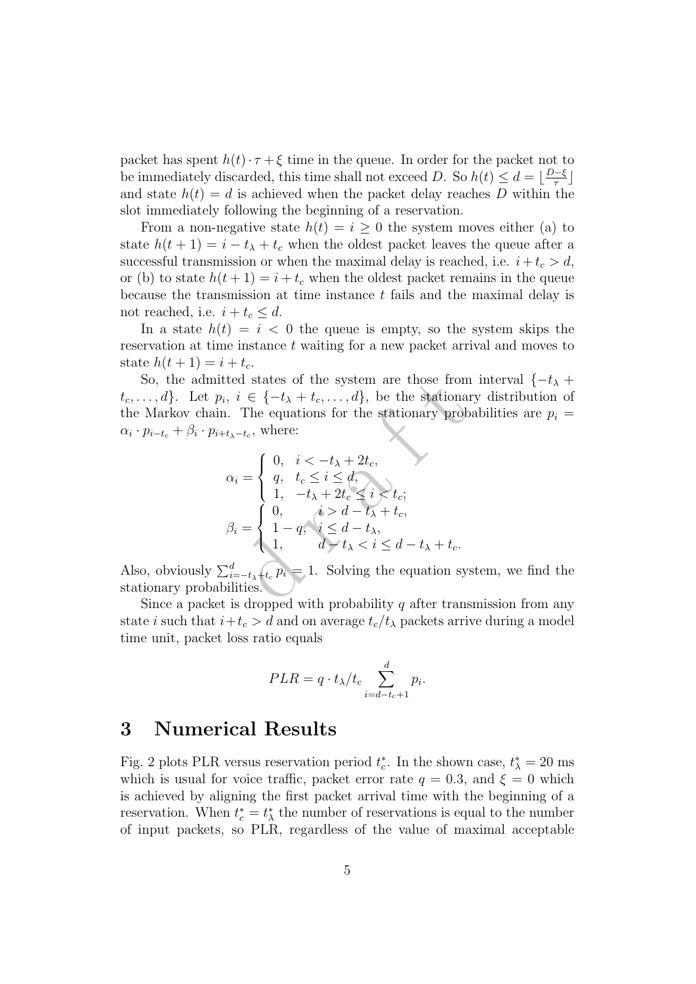packet has spent  $h(t) \cdot \tau + \xi$  time in the queue. In order for the packet not to be immediately discarded, this time shall not exceed D. So  $h(t) \leq d = \lfloor \frac{D-5}{\tau} \rfloor$  $\frac{\pi}{2}$ and state  $h(t) = d$  is achieved when the packet delay reaches D within the slot immediately following the beginning of a reservation.

From a non-negative state  $h(t) = i \geq 0$  the system moves either (a) to state  $h(t+1) = i - t_{\lambda} + t_c$  when the oldest packet leaves the queue after a successful transmission or when the maximal delay is reached, i.e.  $i + t_c > d$ , or (b) to state  $h(t+1) = i + t_c$  when the oldest packet remains in the queue because the transmission at time instance  $t$  fails and the maximal delay is not reached, i.e.  $i + t_c \leq d$ .

In a state  $h(t) = i < 0$  the queue is empty, so the system skips the reservation at time instance t waiting for a new packet arrival and moves to state  $h(t+1) = i + t_c$ .

So, the admitted states of the system are those from interval  $\{-t_\lambda +$  $t_c, \ldots, d$ . Let  $p_i, i \in \{-t_\lambda + t_c, \ldots, d\}$ , be the stationary distribution of the Markov chain. The equations for the stationary probabilities are  $p_i =$  $\alpha_i \cdot p_{i-t_c} + \beta_i \cdot p_{i+t_{\lambda}-t_c}$ , where:

tted states of the system are those from

\n
$$
i, i \in \{-t_{\lambda} + t_c, \ldots, d\}
$$
, be the stationary probability

\n $t_{\lambda} - t_c$ , where:

\n $\alpha_i = \begin{cases} \n0, & i < -t_{\lambda} + 2t_c, \\ \n0, & t_c \leq i \leq d, \\ \n1, & -t_{\lambda} + 2t_c \leq i < t_c; \\ \n0, & i > d - t_{\lambda} + t_c, \\ \n1, & d - t_{\lambda} < i \leq d - t_{\lambda} + t_c. \n\end{cases}$ \n $\beta_i = \begin{cases} \n0, & i > d - t_{\lambda} + t_c, \\ \n1 - q, & i \leq d - t_{\lambda}, \\ \n1, & d - t_{\lambda} < i \leq d - t_{\lambda} + t_c. \n\end{cases}$ 

\nand  $t_{\lambda} < i \leq d - t_{\lambda} + t_c$ .

\n $\sum_{i=-t_{\lambda}+t_c}^{d} p_i = 1$ . Solving the equation system, the equation is

\nbyilities.

Also, obviously  $\sum_{i=-t_{\lambda}+t_{c}}^{d} p_{i} = 1$ . Solving the equation system, we find the stationary probabilities.

Since a packet is dropped with probability  $q$  after transmission from any state *i* such that  $i + t_c > d$  and on average  $t_c/t_\lambda$  packets arrive during a model time unit, packet loss ratio equals

$$
PLR = q \cdot t_{\lambda}/t_c \sum_{i=d-t_c+1}^{d} p_i.
$$

#### 3 Numerical Results

Fig. 2 plots PLR versus reservation period  $t_c^*$ . In the shown case,  $t_{\lambda}^* = 20$  ms which is usual for voice traffic, packet error rate  $q = 0.3$ , and  $\xi = 0$  which is achieved by aligning the first packet arrival time with the beginning of a reservation. When  $t_c^* = t_\lambda^*$  the number of reservations is equal to the number of input packets, so PLR, regardless of the value of maximal acceptable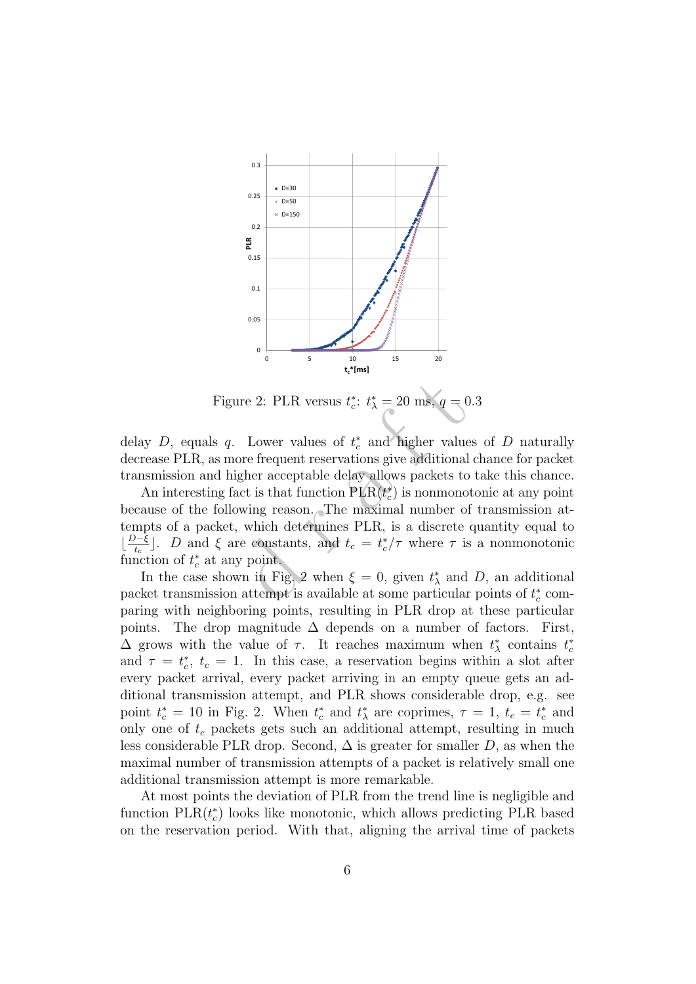

Figure 2: PLR versus  $t_c^*$ :  $t_{\lambda}^* = 20$  ms,  $q = 0.3$ 

delay D, equals q. Lower values of  $t_c^*$  and higher values of D naturally decrease PLR, as more frequent reservations give additional chance for packet transmission and higher acceptable delay allows packets to take this chance.

are 2: PLR versus  $t_c^*$ :  $t_{\lambda}^* = 20$  ms,  $q = 0$ <br>Lower values of  $t_c^*$  and higher value<br>ore frequent reservations give additional<br>gher acceptable delay allows packets to<br>act is that function PLR( $t_c^*$ ) is nonmono<br>owin An interesting fact is that function  $PLR(t_c^*)$  is nonmonotonic at any point because of the following reason. The maximal number of transmission attempts of a packet, which determines PLR, is a discrete quantity equal to  $\lfloor \frac{D-\xi}{t_c} \rfloor$ . D and  $\xi$  are constants, and  $t_c = t_c^*/\tau$  where  $\tau$  is a nonmonotonic function of  $t_c^*$  at any point.

In the case shown in Fig. 2 when  $\xi = 0$ , given  $t_{\lambda}^{*}$  and D, an additional packet transmission attempt is available at some particular points of  $t_c^*$  comparing with neighboring points, resulting in PLR drop at these particular points. The drop magnitude  $\Delta$  depends on a number of factors. First,  $\Delta$  grows with the value of  $\tau$ . It reaches maximum when  $t^*_{\lambda}$  contains  $t^*_{c}$ and  $\tau = t_c^*$ ,  $t_c = 1$ . In this case, a reservation begins within a slot after every packet arrival, every packet arriving in an empty queue gets an additional transmission attempt, and PLR shows considerable drop, e.g. see point  $t_c^* = 10$  in Fig. 2. When  $t_c^*$  and  $t_{\lambda}^*$  are coprimes,  $\tau = 1$ ,  $t_c = t_c^*$  and only one of  $t_c$  packets gets such an additional attempt, resulting in much less considerable PLR drop. Second,  $\Delta$  is greater for smaller D, as when the maximal number of transmission attempts of a packet is relatively small one additional transmission attempt is more remarkable.

At most points the deviation of PLR from the trend line is negligible and function  $PLR(t_c^*)$  looks like monotonic, which allows predicting PLR based on the reservation period. With that, aligning the arrival time of packets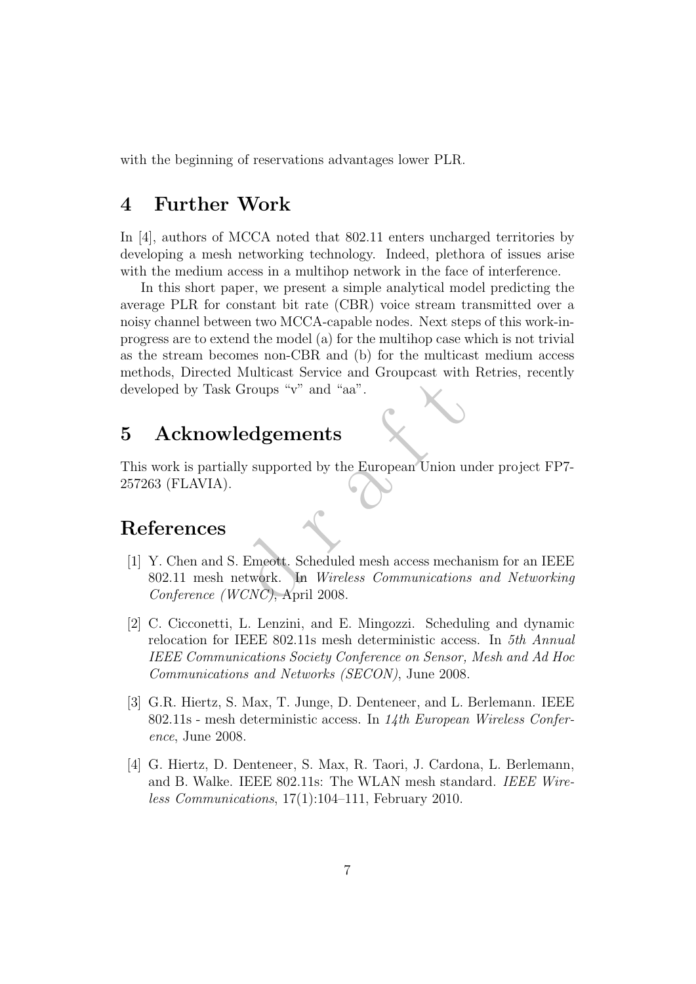with the beginning of reservations advantages lower PLR.

## 4 Further Work

In [4], authors of MCCA noted that 802.11 enters uncharged territories by developing a mesh networking technology. Indeed, plethora of issues arise with the medium access in a multihop network in the face of interference.

In this short paper, we present a simple analytical model predicting the average PLR for constant bit rate (CBR) voice stream transmitted over a noisy channel between two MCCA-capable nodes. Next steps of this work-inprogress are to extend the model (a) for the multihop case which is not trivial as the stream becomes non-CBR and (b) for the multicast medium access methods, Directed Multicast Service and Groupcast with Retries, recently developed by Task Groups "v" and "aa".

## 5 Acknowledgements

This work is partially supported by the European Union under project FP7- 257263 (FLAVIA).

#### References

- d <sup>r</sup> <sup>a</sup> <sup>f</sup> <sup>t</sup> [1] Y. Chen and S. Emeott. Scheduled mesh access mechanism for an IEEE 802.11 mesh network. In Wireless Communications and Networking Conference (WCNC), April 2008.
- [2] C. Cicconetti, L. Lenzini, and E. Mingozzi. Scheduling and dynamic relocation for IEEE 802.11s mesh deterministic access. In 5th Annual IEEE Communications Society Conference on Sensor, Mesh and Ad Hoc Communications and Networks (SECON), June 2008.
- [3] G.R. Hiertz, S. Max, T. Junge, D. Denteneer, and L. Berlemann. IEEE 802.11s - mesh deterministic access. In 14th European Wireless Conference, June 2008.
- [4] G. Hiertz, D. Denteneer, S. Max, R. Taori, J. Cardona, L. Berlemann, and B. Walke. IEEE 802.11s: The WLAN mesh standard. IEEE Wireless Communications, 17(1):104–111, February 2010.